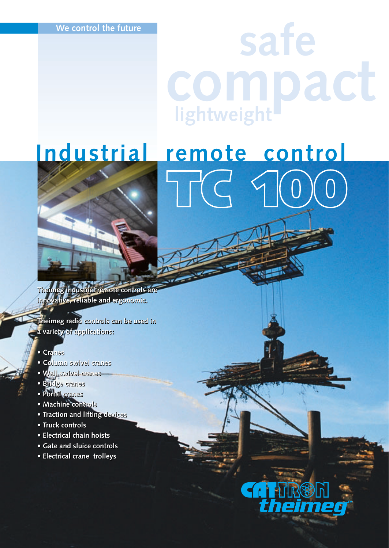# **safe compact lightweight**

**TC 100**

## **Industrial remote control**



**Theimeg industrial remote controls are Theimeg industrial remote controls are innovative, reliable and ergonomic.**

**Theimeg radio controls can be used in innovative, reliable and ergonomic.Theimeg radio controls can be used in a variety of applications: a variety of applications:**

- **Cranes Cranes**
- **Column swivel cranes Column swivel cranes**
- **Wall swivel cranes • Bridge cranes • Wall swivel cranes• Bridge cranes**
- 
- **Portal cranes Portal cranes**
- **Machine controls Machine controls**
- **Traction and lifting devices Traction and lifting devices**
- **Truck controls Truck controls**
- **Electrical chain hoists Electrical chain hoists**
- **Gate and sluice controls**
- **Electrical crane trolleys Gate and sluice controls• Electrical crane trolleys**

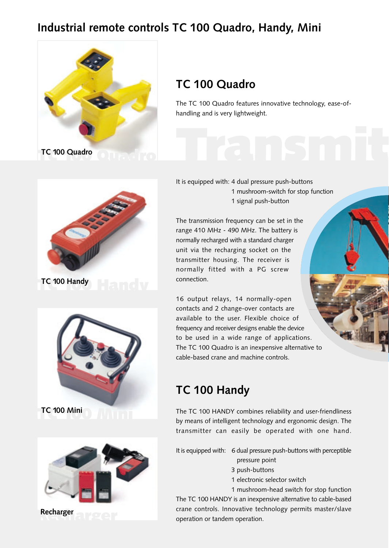## **Industrial remote controls TC 100 Quadro, Handy, Mini**









## **TC 100 Quadro**

The TC 100 Quadro features innovative technology, ease-ofhandling and is very lightweight.

#### It is equipped with: 4 dual pressure push-buttons 1 mushroom-switch for stop function 1 signal push-button

The transmission frequency can be set in the range 410 MHz - 490 MHz. The battery is normally recharged with a standard charger unit via the recharging socket on the transmitter housing. The receiver is normally fitted with a PG screw connection.

16 output relays, 14 normally-open contacts and 2 change-over contacts are available to the user. Flexible choice of frequency and receiver designs enable the device to be used in a wide range of applications. The TC 100 Quadro is an inexpensive alternative to cable-based crane and machine controls.

## **TC 100 Handy**

The TC 100 HANDY combines reliability and user-friendliness by means of intelligent technology and ergonomic design. The transmitter can easily be operated with one hand.

It is equipped with: 6 dual pressure push-buttons with perceptible pressure point

- 3 push-buttons
- 1 electronic selector switch
- 1 mushroom-head switch for stop function

The TC 100 HANDY is an inexpensive alternative to cable-based crane controls. Innovative technology permits master/slave operation or tandem operation.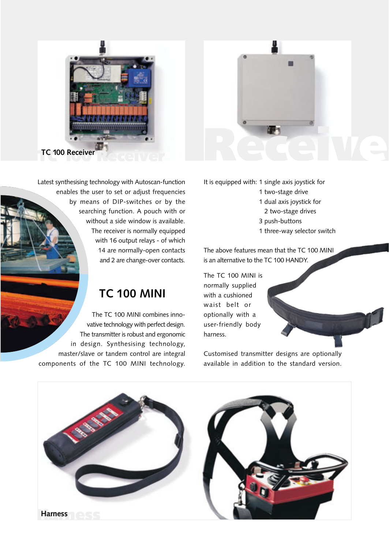

Latest synthesising technology with Autoscan-function enables the user to set or adjust frequencies by means of DIP-switches or by the searching function. A pouch with or without a side window is available. The receiver is normally equipped with 16 output relays - of which 14 are normally-open contacts and 2 are change-over contacts.

## **TC 100 MINI**

The TC 100 MINI combines innovative technology with perfect design. The transmitter is robust and ergonomic in design. Synthesising technology, master/slave or tandem control are integral components of the TC 100 MINI technology.



It is equipped with: 1 single axis joystick for

- 1 two-stage drive
- 1 dual axis joystick for
- 2 two-stage drives
- 3 push-buttons
- 1 three-way selector switch

The above features mean that the TC 100 MINI is an alternative to the TC 100 HANDY.

The TC 100 MINI is normally supplied with a cushioned waist belt or optionally with a user-friendly body harness.

Customised transmitter designs are optionally available in addition to the standard version.